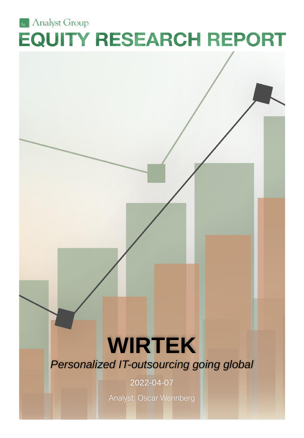# Analyst Group **EQUITY RESEARCH REPORT**

# **WIRTEK**

*Personalized IT-outsourcing going global*

2022-04-07

Analyst: Oscar Wennberg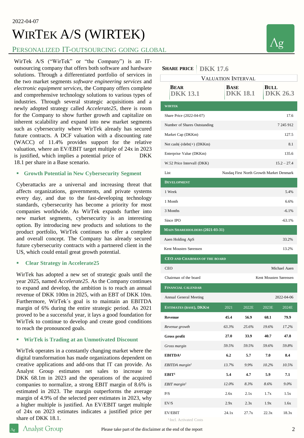# WIRTEK A/S (WIRTEK)

### PERSONALIZED IT-OUTSOURCING GOING GLOBAL

WirTek A/S ("WirTek" or "the Company") is an IToutsourcing company that offers both software and hardware solutions. Through a differentiated portfolio of services in the two market segments *software engineering services* and *electronic equipment services*, the Company offers complete and comprehensive technology solutions to various types of industries. Through several strategic acquisitions and a newly adopted strategy called *Accelerate25*, there is room for the Company to show further growth and capitalize on inherent scalability and expand into new market segments such as cybersecurity where WirTek already has secured future contracts. A DCF valuation with a discounting rate (WACC) of 11.4% provides support for the relative valuation, where an EV/EBIT target multiple of 24x in 2023 is justified, which implies a potential price of DKK 18.1 per share in a Base scenario.

### ▪ **Growth Potential in New Cybersecurity Segment**

Cyberattacks are a universal and increasing threat that affects organizations, governments, and private systems every day, and due to the fast-developing technology standards, cybersecurity has become a priority for most companies worldwide. As WirTek expands further into new market segments, cybersecurity is an interesting option. By introducing new products and solutions to the product portfolio, WirTek continues to offer a complete and overall concept. The Company has already secured future cybersecurity contracts with a partnered client in the US, which could entail great growth potential.

### ▪ **Clear Strategy in Accelerate25**

WirTek has adopted a new set of strategic goals until the year 2025, named *Accelerate25*. As the Company continues to expand and develop, the ambition is to reach an annual revenue of DKK 100m in 2025, with an EBT of DKK 10m. Furthermore, WirTek´s goal is to maintain an EBITDA margin of 6% during the entire strategic period. As 2021 proved to be a successful year, it lays a good foundation for WirTek to continue to develop and create good conditions to reach the pronounced goals.

### ▪ **WirTek is Trading at an Unmotivated Discount**

WirTek operates in a constantly changing market where the digital transformation has made organizations dependent on creative applications and add-ons that IT can provide. As Analyst Group estimates net sales to increase to DKK 68.1m in 2023 and the operations of the acquired companies to normalize, a strong EBIT margin of 8.6% is estimated in 2023. The margin outperforms the average margin of 4.9% of the selected peer estimates in 2023, why a higher multiple is justified. An EV/EBIT target multiple of 24x on 2023 estimates indicates a justified price per share of DKK 18.1.

### **SHARE PRICE DKK 17.6**

| <b>VALUATION INTERVAL</b>                                                     |       |                                          |                       |               |  |  |  |
|-------------------------------------------------------------------------------|-------|------------------------------------------|-----------------------|---------------|--|--|--|
| BEAR<br>BULL<br>BASE<br><b>DKK 26.3</b><br><b>DKK 13.1</b><br><b>DKK 18.1</b> |       |                                          |                       |               |  |  |  |
| <b>WIRTEK</b>                                                                 |       |                                          |                       |               |  |  |  |
| Share Price (2022-04-07)                                                      |       |                                          |                       | 17.6          |  |  |  |
| Number of Shares Outstanding                                                  |       |                                          |                       | 7 245 912     |  |  |  |
| Market Cap (DKKm)<br>127.5                                                    |       |                                          |                       |               |  |  |  |
| Net cash $(-)/\text{debt}(+)$ (DKKm)                                          |       |                                          |                       | 8.1           |  |  |  |
| Enterprise Value (DKKm)                                                       |       |                                          |                       | 135.6         |  |  |  |
| W.52 Price Intervall (DKK)                                                    |       |                                          |                       | $15.2 - 27.4$ |  |  |  |
| List                                                                          |       | Nasdaq First North Growth Market Denmark |                       |               |  |  |  |
| <b>DEVELOPMENT</b>                                                            |       |                                          |                       |               |  |  |  |
| 1 Week                                                                        |       |                                          |                       | 5.4%          |  |  |  |
| 1 Month                                                                       |       |                                          |                       | 6.6%          |  |  |  |
| 3 Months                                                                      |       |                                          |                       | $-6.1%$       |  |  |  |
| Since IPO                                                                     |       |                                          |                       | $-63.1%$      |  |  |  |
| <b>MAIN SHAREHIOLDERS (2021-03-31)</b>                                        |       |                                          |                       |               |  |  |  |
| Aaen Holding ApS                                                              |       |                                          |                       | 33.2%         |  |  |  |
| Kent Mousten Sørensen                                                         |       |                                          |                       | 13.2%         |  |  |  |
|                                                                               |       |                                          |                       |               |  |  |  |
| <b>CEO AND CHAIRMAN OF THE BOARD</b>                                          |       |                                          |                       |               |  |  |  |
| <b>CEO</b>                                                                    |       |                                          |                       | Michael Aaen  |  |  |  |
| Chairman of the board                                                         |       |                                          | Kent Mousten Sørensen |               |  |  |  |
| <b>FINANCIAL CALENDAR</b>                                                     |       |                                          |                       |               |  |  |  |
| Annual General Meeting                                                        |       |                                          |                       | 2022-04-06    |  |  |  |
| <b>ESTIMATES (BASE), DKKM</b>                                                 | 2021  | 2022E                                    | 2023E                 | 2024E         |  |  |  |
| <b>Revenue</b>                                                                | 45.4  | 56.9                                     | 68.1                  | 79.9          |  |  |  |
| Revenue growth                                                                | 63.3% | 25.6%                                    | 19.6%                 | 17.2%         |  |  |  |
| Gross profit                                                                  | 27.0  | 33.9                                     | 40.7                  | 47.8          |  |  |  |
| Gross margin                                                                  | 59.5% | 59.5%                                    | 59.6%                 | 59.8%         |  |  |  |
| EBITDA <sup>1</sup>                                                           | 6.2   | 5.7                                      | 7.0                   | 8.4           |  |  |  |
| EBITDA margin <sup>1</sup>                                                    | 13.7% | 9.9%                                     | 10.2%                 | 10.5%         |  |  |  |
| EBIT <sup>1</sup>                                                             | 5.4   | 4.7                                      | 5.9                   | 7.1           |  |  |  |
| $EBIT$ margin <sup>1</sup>                                                    | 12.0% | 8.3%                                     | 8.6%                  | $9.0\%$       |  |  |  |
| P/S                                                                           | 2.6x  | 2.1x                                     | 1.7x                  | 1.5x          |  |  |  |
| EV/S                                                                          | 2.9x  | 2.3x                                     | 1.9x                  | 1.6x          |  |  |  |

**Analyst Group**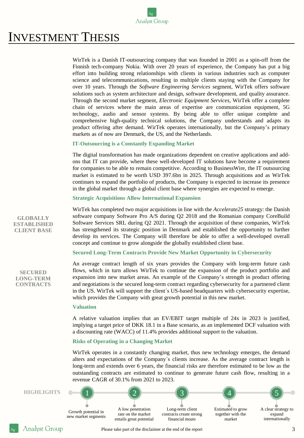

### INVESTMENT THESIS

WirTek is a Danish IT-outsourcing company that was founded in 2001 as a spin-off from the Finnish tech-company Nokia. With over 20 years of experience, the Company has put a big effort into building strong relationships with clients in various industries such as computer science and telecommunications, resulting in multiple clients staying with the Company for over 10 years. Through the *Software Engineering Services* segment, WirTek offers software solutions such as system architecture and design, software development, and quality assurance. Through the second market segment, *Electronic Equipment Services*, WirTek offer a complete chain of services where the main areas of expertise are communication equipment, 5G technology, audio and sensor systems. By being able to offer unique complete and comprehensive high-quality technical solutions, the Company understands and adapts its product offering after demand. WirTek operates internationally, but the Company's primary markets as of now are Denmark, the US, and the Netherlands.

#### **IT-Outsourcing is a Constantly Expanding Market**

The digital transformation has made organizations dependent on creative applications and addons that IT can provide, where these well-developed IT solutions have become a requirement for companies to be able to remain competitive. According to BusinessWire, the IT outsourcing market is estimated to be worth USD 397.6bn in 2025. Through acquisitions and as WirTek continues to expand the portfolio of products, the Company is expected to increase its presence in the global market through a global client base where synergies are expected to emerge.

#### **Strategic Acquisitions Allow International Expansion**

WirTek has completed two major acquisitions in line with the *Accelerate25* strategy: the Danish software company Software Pro A/S during Q2 2018 and the Romanian company CoreBuild Software Services SRL during Q2 2021. Through the acquisition of these companies, WirTek has strengthened its strategic position in Denmark and established the opportunity to further develop its services. The Company will therefore be able to offer a well-developed overall concept and continue to grow alongside the globally established client base.

#### **Secured Long-Term Contracts Provide New Market Opportunity in Cybersecurity**

An average contract length of six years provides the Company with long-term future cash flows, which in turn allows WirTek to continue the expansion of the product portfolio and expansion into new market areas. An example of the Company's strength in product offering and negotiations is the secured long-term contract regarding cybersecurity for a partnered client in the US. WirTek will support the client´s US-based headquarters with cybersecurity expertise, which provides the Company with great growth potential in this new market.

#### **Valuation**

A relative valuation implies that an EV/EBIT target multiple of 24x in 2023 is justified, implying a target price of DKK 18.1 in a Base scenario, as an implemented DCF valuation with a discounting rate (WACC) of 11.4% provides additional support to the valuation.

#### **Risks of Operating in a Changing Market**

WirTek operates in a constantly changing market, thus new technology emerges, the demand alters and expectations of the Company´s clients increase. As the average contract length is long-term and extends over 6 years, the financial risks are therefore estimated to be low as the outstanding contracts are estimated to continue to generate future cash flow, resulting in a revenue CAGR of 30.1% from 2021 to 2023.



**GLOBALLY ESTABLISHED CLIENT BASE**

**SECURED LONG-TERM CONTRACTS**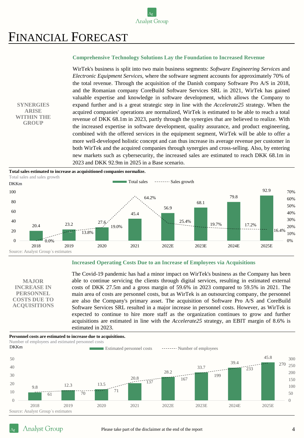## FINANCIAL FORECAST

#### **Comprehensive Technology Solutions Lay the Foundation to Increased Revenue**

WirTek's business is split into two main business segments: *Software Engineering Services* and *Electronic Equipment Services*, where the software segment accounts for approximately 70% of the total revenue. Through the acquisition of the Danish company Software Pro A/S in 2018, and the Romanian company CoreBuild Software Services SRL in 2021, WirTek has gained valuable expertise and knowledge in software development, which allows the Company to expand further and is a great strategic step in line with the *Accelerate25* strategy. When the acquired companies' operations are normalized, WirTek is estimated to be able to reach a total revenue of DKK 68.1m in 2023, partly through the synergies that are believed to realize. With the increased expertise in software development, quality assurance, and product engineering, combined with the offered services in the equipment segment, WirTek will be able to offer a more well-developed holistic concept and can thus increase its average revenue per customer in both WirTek and the acquired companies through synergies and cross-selling. Also, by entering new markets such as cybersecurity, the increased sales are estimated to reach DKK 68.1m in 2023 and DKK 92.9m in 2025 in a Base scenario.





#### **Increased Operating Costs Due to an Increase of Employees via Acquisitions**

| <b>MAJOR</b>        |
|---------------------|
| <b>INCREASE IN</b>  |
| PERSONNEL           |
| COSTS DUE TO        |
| <b>ACOUISITIONS</b> |

**SYNERGIES ARISE WITHIN THE GROUP**

> The Covid-19 pandemic has had a minor impact on WirTek's business as the Company has been able to continue servicing the clients through digital services, resulting in estimated external costs of DKK 27.5m and a gross margin of 59.6% in 2023 compared to 59.5% in 2021. The main area of costs are personnel costs, but as WirTek is an outsourcing company, the personnel are also the Company's primary asset. The acquisition of Software Pro A/S and CoreBuild Software Services SRL resulted in a major increase in personnel costs. However, as WirTek is expected to continue to hire more staff as the organization continues to grow and further acquisitions are estimated in line with the *Accelerate25* strategy, an EBIT margin of 8.6% is estimated in 2023.

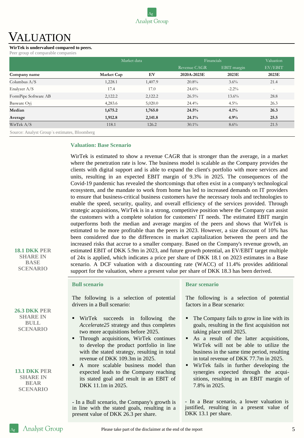### VALUATION

#### **WirTek is undervalued compared to peers.**

Peer group of comparable companies

| Market data          |                   |         | Financials   |             | Valuation                |  |  |
|----------------------|-------------------|---------|--------------|-------------|--------------------------|--|--|
|                      |                   |         | Revenue CAGR | EBIT-margin | EV/EBIT                  |  |  |
| Company name         | <b>Market Cap</b> | EV      | 2020A-2023E  | 2023E       | 2023E                    |  |  |
| Columbus $A/S$       | 1,228.1           | 1,407.9 | 20.8%        | $3.6\%$     | 21.4                     |  |  |
| Enalyzer A/S         | 17.4              | 17.0    | 24.6%        | $-2.2\%$    | $\overline{\phantom{a}}$ |  |  |
| FormPipe Software AB | 2,122.2           | 2,122.2 | 26.5%        | $13.6\%$    | 28.8                     |  |  |
| Basware Oyj          | 4,283.6           | 5,020.0 | $24.4\%$     | $4.5\%$     | 26.3                     |  |  |
| Median               | 1,675.2           | 1,765.0 | 24.5%        | 4.1%        | 26.3                     |  |  |
| Average              | 1,912.8           | 2,141.8 | 24.1%        | 4.9%        | 25.5                     |  |  |
| WirTek A/S           | 118.1             | 126.2   | $30.1\%$     | 8.6%        | 21.5                     |  |  |
|                      |                   |         |              |             |                          |  |  |

Source: Analyst Group´s estimates, Bloomberg

#### **Valuation: Base Scenario**

WirTek is estimated to show a revenue CAGR that is stronger than the average, in a market where the penetration rate is low. The business model is scalable as the Company provides the clients with digital support and is able to expand the client's portfolio with more services and units, resulting in an expected EBIT margin of 9.3% in 2025. The consequences of the Covid-19 pandemic has revealed the shortcomings that often exist in a company's technological ecosystem, and the mandate to work from home has led to increased demands on IT providers to ensure that business-critical business customers have the necessary tools and technologies to enable the speed, security, quality, and overall efficiency of the services provided. Through strategic acquisitions, WirTek is in a strong, competitive position where the Company can assist the customers with a complete solution for customers' IT needs. The estimated EBIT margin outperforms both the median and average margins of the peers and shows that WirTek is estimated to be more profitable than the peers in 2023. However, a size discount of 10% has been considered due to the differences in market capitalization between the peers and the increased risks that accrue to a smaller company. Based on the Company's revenue growth, an estimated EBIT of DKK 5.9m in 2023, and future growth potential, an EV/EBIT target multiple of 24x is applied, which indicates a price per share of DKK 18.1 on 2023 estimates in a Base scenario. A DCF valuation with a discounting rate (WACC) of 11.4% provides additional support for the valuation, where a present value per share of DKK 18.3 has been derived.

#### **18.1 DKK PER SHARE IN BASE SCENARIO**

| <b>Bull scenario</b> |
|----------------------|
|                      |

The following is a selection of potential drivers in a Bull scenario:

- WirTek succeeds in following the *Accelerate25* strategy and thus completes two more acquisitions before 2025.
- Through acquisitions, WirTek continues to develop the product portfolio in line with the stated strategy, resulting in total revenue of DKK 109.3m in 2025.
- A more scalable business model than expected leads to the Company reaching its stated goal and result in an EBIT of DKK 11.1m in 2025.

- In a Bull scenario, the Company's growth is in line with the stated goals, resulting in a present value of DKK 26.3 per share.

#### **Bear scenario**

The following is a selection of potential factors in a Bear scenario:

- The Company fails to grow in line with its goals, resulting in the first acquisition not taking place until 2025.
- As a result of the latter acquisitions, WirTek will not be able to utilize the business in the same time period, resulting in total revenue of DKK 77.7m in 2025.
- WirTek fails in further developing the synergies expected through the acquisitions, resulting in an EBIT margin of 7.8% in 2025.

- In a Bear scenario, a lower valuation is justified, resulting in a present value of DKK 13.1 per share.

**26.3 DKK PER SHARE IN BULL SCENARIO**

**13.1 DKK PER SHARE IN BEAR SCENARIO**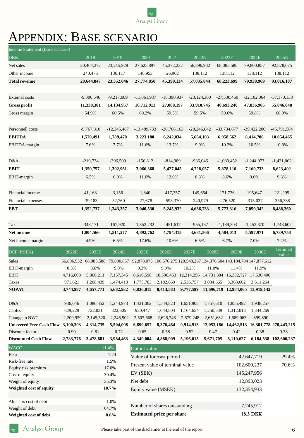

# APPENDIX: BASE SCENARIO

| Income Statement (Base scenario)               |                   |                   |                   |                          |                   |                   |                       |                   |                                                                                                         |                               |
|------------------------------------------------|-------------------|-------------------|-------------------|--------------------------|-------------------|-------------------|-----------------------|-------------------|---------------------------------------------------------------------------------------------------------|-------------------------------|
| <b>DKK</b>                                     |                   | 2018              | 2019              | 2020                     | 2021              | 2022E             |                       | 2023E             | 2024E                                                                                                   | 2025E                         |
| Net sales                                      |                   | 20,404,372        | 23,215,929        | 27,625,897               | 45,372,232        | 56,896,932        |                       | 68,085,588        | 79,800,857                                                                                              | 92,878,075                    |
| Other income                                   |                   | 240,475           | 136,117           | 148,953                  | 26,902            | 138,112           |                       | 138,112           | 138,112                                                                                                 | 138,112                       |
| <b>Total revenue</b>                           |                   | 20,644,847        | 23,352,046        | 27,774,850               | 45,399,134        | 57,035,044        |                       | 68,223,699        | 79,938,969                                                                                              | 93,016,187                    |
| External costs                                 |                   | $-9,306,546$      | $-9,217,089$      | $-11,061,937$            | $-18,390,937$     | $-23,124,300$     |                       | $-27,530,460$     | $-32,102,064$                                                                                           | $-37,170,138$                 |
| <b>Gross profit</b>                            |                   | 11,338,301        | 14,134,957        | 16,712,913               | 27,008,197        | 33,910,745        |                       | 40,693,240        | 47,836,905                                                                                              | 55,846,048                    |
| Gross margin                                   |                   | 54.9%             | 60.5%             | 60.2%                    | 59.5%             | 59.5%             |                       | 59.6%             | 59.8%                                                                                                   | 60.0%                         |
|                                                |                   |                   |                   |                          |                   |                   |                       |                   |                                                                                                         |                               |
| Personnell costs                               |                   | $-9,767,810$      | $-12,345,487$     | -13,489,733              | $-20,766,163$     | $-28,246,642$     |                       | -33,734,677       | $-39,422,200$                                                                                           | -45,791,584                   |
| <b>EBITDA</b>                                  |                   | 1,570,491         | 1,789,470         | 3,223,180                | 6,242,034         | 5,664,103         |                       | 6,958,562         | 8,414,706                                                                                               | 10,054,465                    |
| EBITDA-margin                                  |                   | 7.6%              | 7.7%              | 11.6%                    | 13.7%             | 9.9%              |                       | 10.2%             | 10.5%                                                                                                   | 10.8%                         |
|                                                |                   |                   |                   |                          |                   |                   |                       |                   |                                                                                                         |                               |
| D&A                                            |                   | $-219,734$        | $-396,509$        | $-156,812$               | $-814,989$        | $-936,046$        |                       | $-1,080,452$      | $-1,244,973$                                                                                            | $-1,431,062$                  |
| <b>EBIT</b>                                    |                   | 1,350,757         | 1,392,961         | 3,066,368                | 5,427,045         | 4,728,057         |                       | 5,878,110         | 7,169,733                                                                                               | 8,623,402                     |
| EBIT-margin                                    |                   | 6.5%              | 6.0%              | 11.0%                    | 12.0%             | 8.3%              |                       | 8.6%              | 9.0%                                                                                                    | 9.3%                          |
|                                                |                   |                   |                   |                          |                   |                   |                       |                   |                                                                                                         |                               |
| Financial income                               |                   | 41,163            | 3,156             | 1,840                    | 417,257           | 149,654           |                       | 171.726           | 195,647                                                                                                 | 221,295                       |
| Financial expenses                             |                   | $-39,183$         | $-52,760$         | $-27,678$                | $-598,370$        | $-240,979$        |                       | $-276,520$        | $-315,037$                                                                                              | $-356,338$                    |
| EBT                                            |                   | 1,352,737         | 1,343,357         | 3,040,530                | 5,245,932         | 4,636,733         |                       | 5,773,316         | 7,050,342                                                                                               | 8,488,360                     |
|                                                |                   |                   |                   |                          |                   |                   |                       |                   |                                                                                                         |                               |
| Tax                                            |                   | $-348,171$        | 167,920           | 1,852,232                | $-451,617$        | $-955,167$        |                       | $-1,189,303$      | $-1,452,370$                                                                                            | $-1,748,602$                  |
| Net income                                     |                   | 1,004,566         | 1,511,277         | 4,892,762                | 4,794,315         | 3,681,566         |                       | 4,584,013         | 5,597,971                                                                                               | 6,739,758                     |
| Net income margin                              |                   | 4.9%              | 6.5%              | 17.6%                    | 10.6%             | 6.5%              |                       | 6.7%              | 7.0%                                                                                                    | 7.2%                          |
| DCF (KSEK)                                     | 2022E             | 2023E             | 2024E             | 2025E                    | 2026E             | 2027E             | 2028E                 | 2029E             | 2030E                                                                                                   | Terminal<br>value             |
| Sales                                          |                   |                   |                   |                          |                   |                   |                       |                   | 56,896,932 68,085,588 79,800,857 92,878,075 106,576,275 120,548,267 134,376,504 143,184,784 147,877,612 |                               |
| EBIT-margin                                    | 8.3%              | 8.6%              | 9.0%              | 9.3%                     | 9.9%              | 10.2%             | 11.0%                 | 11.4%             | 11.9%                                                                                                   |                               |
| EBIT                                           | 4,716,608         | 5,866,211         | 7,157,345         | 8,610,598                | 10,596,453        |                   | 12,314,356 14,731,384 | 16,352,727        | 17,530,406                                                                                              |                               |
| Taxes                                          | 971,621           | 1,208,439         | 1,474,413         | 1,773,783                | 2,182,869         | 2,536,757         | 3,034,665             | 3,368,662         | 3,611,264                                                                                               |                               |
| NOPAT                                          | 3,744,987         | 4,657,771         | 5,682,932         | 6,836,815                | 8,413,583         | 9,777,599         | 11,696,719            |                   | 12,984,065 13,919,142                                                                                   |                               |
|                                                |                   |                   |                   |                          |                   |                   |                       |                   |                                                                                                         |                               |
| D&A                                            | 936,046           | 1,080,452         | 1,244,973         | 1,431,062                | 1,544,823         | 1,651,908         | 1,757,610             | 1,855,492         | 1,938,257                                                                                               |                               |
| CapEx                                          | 629,229           | 722,031           | 822,605           | 930,447                  | 1,044,804         | 1,164,654         | 1,250,539             | 1,312,018         | 1,344,269                                                                                               |                               |
| Change in NWC                                  | $-2,209,959$      | $-2,145,520$      | $-2,246,502$      | $-2,507,668$             | $-2,626,746$      | $-2,679,248$      | $-2,651,682$          | $-1,689,063$      | -899,890                                                                                                |                               |
| Unlevered Free Cash Flow 3,100,303             |                   | 4,314,735         | 5,504,008         | 6,690,657                | 8,376,464         | 9,914,913         |                       |                   | 12,053,186 14,462,513 16,301,778 270,443,215                                                            |                               |
| Discount factor<br><b>Discounted Cash Flow</b> | 0.90<br>2,783,776 | 0.81<br>3,478,681 | 0.72<br>3,984,463 | 0.65<br>4,349,004        | 0.58<br>4,888,909 | 0.52<br>5,196,015 | 0.47<br>5,671,705     | 0.42<br>6,110,627 | 0.38                                                                                                    | 0.38<br>6,184,538 102,600,237 |
| <b>WACC</b>                                    |                   |                   |                   |                          |                   |                   |                       |                   |                                                                                                         |                               |
| Beta                                           |                   |                   | 11.4%<br>1.70     | Output value             |                   |                   |                       |                   |                                                                                                         |                               |
| Risk-free rate                                 |                   |                   | 1.5%              | Value of forecast period |                   |                   |                       |                   | 42,647,719                                                                                              | 29.4%                         |
|                                                |                   |                   |                   |                          |                   |                   |                       |                   |                                                                                                         |                               |

|                         | ______   | Output value                     |                 |
|-------------------------|----------|----------------------------------|-----------------|
| Beta                    | 1.70     | Value of forecast period         | 42,647,719      |
| Risk-free rate          | 1.5%     | Present value of terminal value  | 102,600,237     |
| Equity risk premium     | 17.0%    |                                  |                 |
| Cost of equity          | 30.4%    | EV (SEK)                         | 145,247,956     |
| Weight of equity        | 35.3%    | Net debt                         | 12,893,023      |
| Weighted cost of equity | $10.7\%$ | Equity value (MSEK)              | 132,354,933     |
| After-tax cost of debt  | 1.0%     |                                  |                 |
|                         |          | Number of shares outstanding     | 7,245,912       |
| Weight of debt          | 64.7%    |                                  |                 |
| Weighted cost of debt   | $0.6\%$  | <b>Estimated price per share</b> | <b>18.3 DKK</b> |
|                         |          |                                  |                 |

**Analyst Group** 

 $\overline{\Delta g}$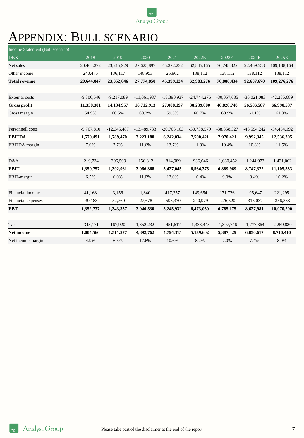

# APPENDIX: BULL SCENARIO

| Income Statement (Bull scenario) |              |               |               |               |               |               |               |               |
|----------------------------------|--------------|---------------|---------------|---------------|---------------|---------------|---------------|---------------|
| <b>DKK</b>                       | 2018         | 2019          | 2020          | 2021          | 2022E         | 2023E         | 2024E         | 2025E         |
| Net sales                        | 20,404,372   | 23,215,929    | 27,625,897    | 45,372,232    | 62,845,165    | 76,748,322    | 92,469,558    | 109,138,164   |
| Other income                     | 240,475      | 136,117       | 148,953       | 26,902        | 138,112       | 138,112       | 138,112       | 138,112       |
| <b>Total revenue</b>             | 20,644,847   | 23,352,046    | 27,774,850    | 45,399,134    | 62,983,276    | 76,886,434    | 92,607,670    | 109,276,276   |
| <b>External costs</b>            | $-9,306,546$ | $-9,217,089$  | $-11,061,937$ | $-18,390,937$ | $-24,744,276$ | $-30,057,685$ | $-36,021,083$ | $-42,285,689$ |
| <b>Gross profit</b>              | 11,338,301   | 14,134,957    | 16,712,913    | 27,008,197    | 38,239,000    | 46,828,748    | 56,586,587    | 66,990,587    |
| Gross margin                     | 54.9%        | 60.5%         | 60.2%         | 59.5%         | 60.7%         | 60.9%         | 61.1%         | 61.3%         |
| Personnell costs                 | $-9,767,810$ | $-12,345,487$ | $-13,489,733$ | $-20,766,163$ | $-30,738,579$ | -38,858,327   | $-46,594,242$ | $-54,454,192$ |
| <b>EBITDA</b>                    | 1,570,491    | 1,789,470     | 3,223,180     | 6,242,034     | 7,500,421     | 7,970,421     | 9,992,345     | 12,536,395    |
| EBITDA-margin                    | 7.6%         | 7.7%          | 11.6%         | 13.7%         | 11.9%         | 10.4%         | 10.8%         | 11.5%         |
| D&A                              | $-219,734$   | $-396,509$    | $-156,812$    | $-814,989$    | $-936,046$    | $-1,080,452$  | $-1,244,973$  | $-1,431,062$  |
| <b>EBIT</b>                      | 1,350,757    | 1,392,961     | 3,066,368     | 5,427,045     | 6,564,375     | 6,889,969     | 8,747,372     | 11,105,333    |
| EBIT-margin                      | 6.5%         | 6.0%          | 11.0%         | 12.0%         | 10.4%         | 9.0%          | 9.4%          | 10.2%         |
| Financial income                 | 41,163       | 3,156         | 1.840         | 417,257       | 149,654       | 171,726       | 195,647       | 221,295       |
| Financial expenses               | $-39,183$    | $-52,760$     | $-27,678$     | -598,370      | $-240,979$    | $-276,520$    | $-315,037$    | $-356,338$    |
| <b>EBT</b>                       | 1,352,737    | 1,343,357     | 3,040,530     | 5,245,932     | 6,473,050     | 6,785,175     | 8,627,981     | 10,970,290    |
| Tax                              | $-348,171$   | 167,920       | 1,852,232     | $-451,617$    | $-1,333,448$  | $-1,397,746$  | $-1,777,364$  | $-2,259,880$  |
| <b>Net income</b>                | 1,004,566    | 1,511,277     | 4,892,762     | 4,794,315     | 5,139,602     | 5,387,429     | 6,850,617     | 8,710,410     |
| Net income margin                | 4.9%         | 6.5%          | 17.6%         | 10.6%         | 8.2%          | 7.0%          | 7.4%          | 8.0%          |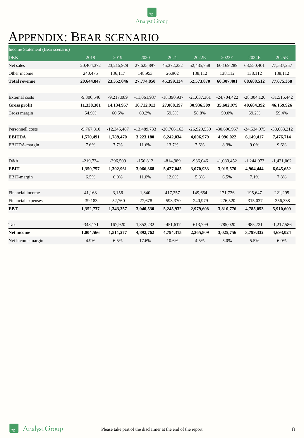

# APPENDIX: BEAR SCENARIO

| Income Statement (Bear scenario) |              |               |               |               |               |               |               |               |
|----------------------------------|--------------|---------------|---------------|---------------|---------------|---------------|---------------|---------------|
| <b>DKK</b>                       | 2018         | 2019          | 2020          | 2021          | 2022E         | 2023E         | 2024E         | 2025E         |
| Net sales                        | 20,404,372   | 23,215,929    | 27,625,897    | 45,372,232    | 52,435,758    | 60,169,289    | 68,550,401    | 77,537,257    |
| Other income                     | 240,475      | 136,117       | 148,953       | 26,902        | 138,112       | 138,112       | 138,112       | 138,112       |
| <b>Total revenue</b>             | 20,644,847   | 23,352,046    | 27,774,850    | 45,399,134    | 52,573,870    | 60,307,401    | 68,688,512    | 77,675,368    |
| <b>External costs</b>            | $-9,306,546$ | $-9,217,089$  | $-11,061,937$ | $-18,390,937$ | $-21,637,361$ | $-24,704,422$ | $-28,004,120$ | $-31,515,442$ |
| <b>Gross profit</b>              | 11,338,301   | 14,134,957    | 16,712,913    | 27,008,197    | 30,936,509    | 35,602,979    | 40,684,392    | 46,159,926    |
| Gross margin                     | 54.9%        | 60.5%         | 60.2%         | 59.5%         | 58.8%         | 59.0%         | 59.2%         | 59.4%         |
| Personnell costs                 | $-9,767,810$ | $-12,345,487$ | $-13,489,733$ | $-20,766,163$ | $-26,929,530$ | $-30,606,957$ | $-34,534,975$ | $-38,683,212$ |
| <b>EBITDA</b>                    | 1,570,491    | 1,789,470     | 3,223,180     | 6,242,034     | 4,006,979     | 4,996,022     | 6,149,417     | 7,476,714     |
| EBITDA-margin                    | 7.6%         | 7.7%          | 11.6%         | 13.7%         | 7.6%          | 8.3%          | 9.0%          | 9.6%          |
| D&A                              | $-219,734$   | $-396,509$    | $-156,812$    | $-814,989$    | $-936,046$    | $-1,080,452$  | $-1,244,973$  | $-1,431,062$  |
| <b>EBIT</b>                      | 1,350,757    | 1,392,961     | 3,066,368     | 5,427,045     | 3,070,933     | 3,915,570     | 4,904,444     | 6,045,652     |
| EBIT-margin                      | 6.5%         | 6.0%          | 11.0%         | 12.0%         | 5.8%          | 6.5%          | 7.1%          | 7.8%          |
| Financial income                 | 41,163       | 3,156         | 1,840         | 417,257       | 149,654       | 171,726       | 195,647       | 221,295       |
| Financial expenses               | $-39,183$    | $-52,760$     | $-27,678$     | $-598,370$    | $-240,979$    | $-276,520$    | $-315,037$    | $-356,338$    |
| <b>EBT</b>                       | 1,352,737    | 1,343,357     | 3,040,530     | 5,245,932     | 2,979,608     | 3,810,776     | 4,785,053     | 5,910,609     |
| Tax                              | $-348,171$   | 167,920       | 1,852,232     | $-451,617$    | $-613,799$    | $-785,020$    | $-985,721$    | $-1,217,586$  |
| <b>Net income</b>                | 1,004,566    | 1,511,277     | 4,892,762     | 4,794,315     | 2,365,809     | 3,025,756     | 3,799,332     | 4,693,024     |
| Net income margin                | 4.9%         | 6.5%          | 17.6%         | 10.6%         | 4.5%          | 5.0%          | 5.5%          | 6.0%          |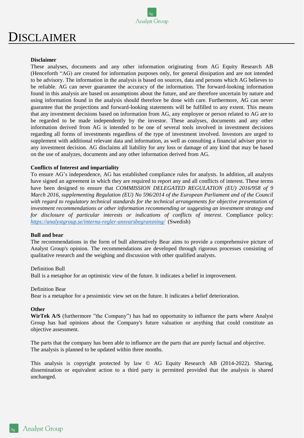

### DISCLAIMER

#### **Disclaimer**

These analyses, documents and any other information originating from AG Equity Research AB (Henceforth "AG) are created for information purposes only, for general dissipation and are not intended to be advisory. The information in the analysis is based on sources, data and persons which AG believes to be reliable. AG can never guarantee the accuracy of the information. The forward-looking information found in this analysis are based on assumptions about the future, and are therefore uncertain by nature and using information found in the analysis should therefore be done with care. Furthermore, AG can never guarantee that the projections and forward-looking statements will be fulfilled to any extent. This means that any investment decisions based on information from AG, any employee or person related to AG are to be regarded to be made independently by the investor. These analyses, documents and any other information derived from AG is intended to be one of several tools involved in investment decisions regarding all forms of investments regardless of the type of investment involved. Investors are urged to supplement with additional relevant data and information, as well as consulting a financial adviser prior to any investment decision. AG disclaims all liability for any loss or damage of any kind that may be based on the use of analyzes, documents and any other information derived from AG.

#### **Conflicts of Interest and impartiality**

To ensure AG's independence, AG has established compliance rules for analysts. In addition, all analysts have signed an agreement in which they are required to report any and all conflicts of interest. These terms have been designed to ensure that *COMMISSION DELEGATED REGULATION (EU) 2016/958 of 9 March 2016, supplementing Regulation (EU) No 596/2014 of the European Parliament and of the Council with regard to regulatory technical standards for the technical arrangements for objective presentation of investment recommendations or other information recommending or suggesting an investment strategy and for disclosure of particular interests or indications of conflicts of interest*. Compliance policy: *<https://analystgroup.se/interna-regler-ansvarsbegransning/>* (Swedish)

#### **Bull and bear**

The recommendations in the form of bull alternatively Bear aims to provide a comprehensive picture of Analyst Group's opinion. The recommendations are developed through rigorous processes consisting of qualitative research and the weighing and discussion with other qualified analysts.

#### Definition Bull

Bull is a metaphor for an optimistic view of the future. It indicates a belief in improvement.

#### Definition Bear

Bear is a metaphor for a pessimistic view set on the future. It indicates a belief deterioration.

#### **Other**

**WirTek A/S** (furthermore "the Company") has had no opportunity to influence the parts where Analyst Group has had opinions about the Company's future valuation or anything that could constitute an objective assessment.

The parts that the company has been able to influence are the parts that are purely factual and objective. The analysis is planned to be updated within three months.

This analysis is copyright protected by law © AG Equity Research AB (2014-2022). Sharing, dissemination or equivalent action to a third party is permitted provided that the analysis is shared unchanged.